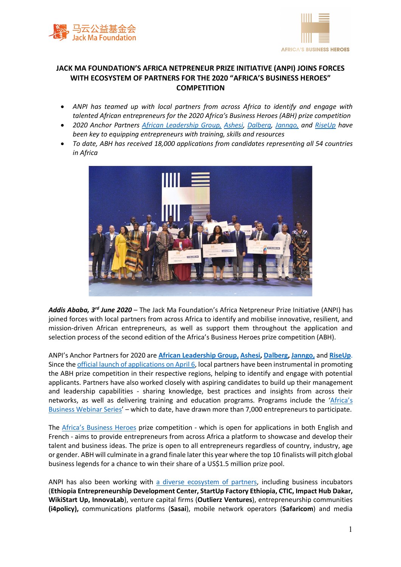



## **JACK MA FOUNDATION'S AFRICA NETPRENEUR PRIZE INITIATIVE (ANPI) JOINS FORCES WITH ECOSYSTEM OF PARTNERS FOR THE 2020 "AFRICA'S BUSINESS HEROES" COMPETITION**

- *ANPI has teamed up with local partners from across Africa to identify and engage with talented African entrepreneurs for the 2020 Africa's Business Heroes (ABH) prize competition*
- *2020 Anchor Partners African Leadership Group, Ashesi, Dalberg, Janngo, and RiseUp have been key to equipping entrepreneurs with training, skills and resources*
- *To date, ABH has received 18,000 applications from candidates representing all 54 countries in Africa*



*Addis Ababa, 3rd June 2020* – The Jack Ma Foundation's Africa Netpreneur Prize Initiative (ANPI) has joined forces with local partners from across Africa to identify and mobilise innovative, resilient, and mission-driven African entrepreneurs, as well as support them throughout the application and selection process of the second edition of the Africa's Business Heroes prize competition (ABH).

ANPI's Anchor Partners for 2020 are **African Leadership Group, Ashesi, Dalberg, Janngo,** and **RiseUp**. Since the official launch of applications on April 6, local partners have been instrumental in promoting the ABH prize competition in their respective regions, helping to identify and engage with potential applicants. Partners have also worked closely with aspiring candidates to build up their management and leadership capabilities - sharing knowledge, best practices and insights from across their networks, as well as delivering training and education programs. Programs include the 'Africa's Business Webinar Series' – which to date, have drawn more than 7,000 entrepreneurs to participate.

The Africa's Business Heroes prize competition - which is open for applications in both English and French - aims to provide entrepreneurs from across Africa a platform to showcase and develop their talent and business ideas. The prize is open to all entrepreneurs regardless of country, industry, age or gender. ABH will culminate in a grand finale later this year where the top 10 finalists will pitch global business legends for a chance to win their share of a US\$1.5 million prize pool.

ANPI has also been working with a diverse ecosystem of partners, including business incubators (**Ethiopia Entrepreneurship Development Center, StartUp Factory Ethiopia, CTIC, Impact Hub Dakar, WikiStart Up, InnovaLab**), venture capital firms (**Outlierz Ventures**), entrepreneurship communities **(i4policy),** communications platforms (**Sasai**), mobile network operators (**Safaricom**) and media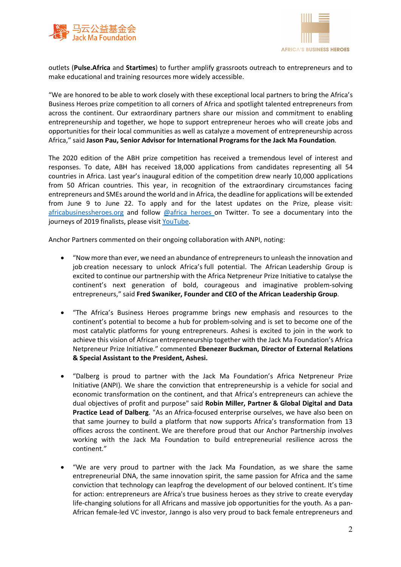



outlets (**Pulse.Africa** and **Startimes**) to further amplify grassroots outreach to entrepreneurs and to make educational and training resources more widely accessible.

"We are honored to be able to work closely with these exceptional local partners to bring the Africa's Business Heroes prize competition to all corners of Africa and spotlight talented entrepreneurs from across the continent. Our extraordinary partners share our mission and commitment to enabling entrepreneurship and together, we hope to support entrepreneur heroes who will create jobs and opportunities for their local communities as well as catalyze a movement of entrepreneurship across Africa," said **Jason Pau, Senior Advisor for International Programs for the Jack Ma Foundation**.

The 2020 edition of the ABH prize competition has received a tremendous level of interest and responses. To date, ABH has received 18,000 applications from candidates representing all 54 countries in Africa. Last year's inaugural edition of the competition drew nearly 10,000 applications from 50 African countries. This year, in recognition of the extraordinary circumstances facing entrepreneurs and SMEs around the world and in Africa, the deadline for applications will be extended from June 9 to June 22. To apply and for the latest updates on the Prize, please visit: africabusinessheroes.org and follow @africa\_heroes on Twitter. To see a documentary into the journeys of 2019 finalists, please visit YouTube.

Anchor Partners commented on their ongoing collaboration with ANPI, noting:

- "Now more than ever, we need an abundance of entrepreneurs to unleash the innovation and job creation necessary to unlock Africa's full potential. The African Leadership Group is excited to continue our partnership with the Africa Netpreneur Prize Initiative to catalyse the continent's next generation of bold, courageous and imaginative problem-solving entrepreneurs," said **Fred Swaniker, Founder and CEO of the African Leadership Group**.
- "The Africa's Business Heroes programme brings new emphasis and resources to the continent's potential to become a hub for problem-solving and is set to become one of the most catalytic platforms for young entrepreneurs. Ashesi is excited to join in the work to achieve this vision of African entrepreneurship together with the Jack Ma Foundation's Africa Netpreneur Prize Initiative." commented **Ebenezer Buckman, Director of External Relations & Special Assistant to the President, Ashesi.**
- "Dalberg is proud to partner with the Jack Ma Foundation's Africa Netpreneur Prize Initiative (ANPI). We share the conviction that entrepreneurship is a vehicle for social and economic transformation on the continent, and that Africa's entrepreneurs can achieve the dual objectives of profit and purpose" said **Robin Miller, Partner & Global Digital and Data Practice Lead of Dalberg**. "As an Africa-focused enterprise ourselves, we have also been on that same journey to build a platform that now supports Africa's transformation from 13 offices across the continent. We are therefore proud that our Anchor Partnership involves working with the Jack Ma Foundation to build entrepreneurial resilience across the continent."
- "We are very proud to partner with the Jack Ma Foundation, as we share the same entrepreneurial DNA, the same innovation spirit, the same passion for Africa and the same conviction that technology can leapfrog the development of our beloved continent. It's time for action: entrepreneurs are Africa's true business heroes as they strive to create everyday life-changing solutions for all Africans and massive job opportunities for the youth. As a pan-African female-led VC investor, Janngo is also very proud to back female entrepreneurs and